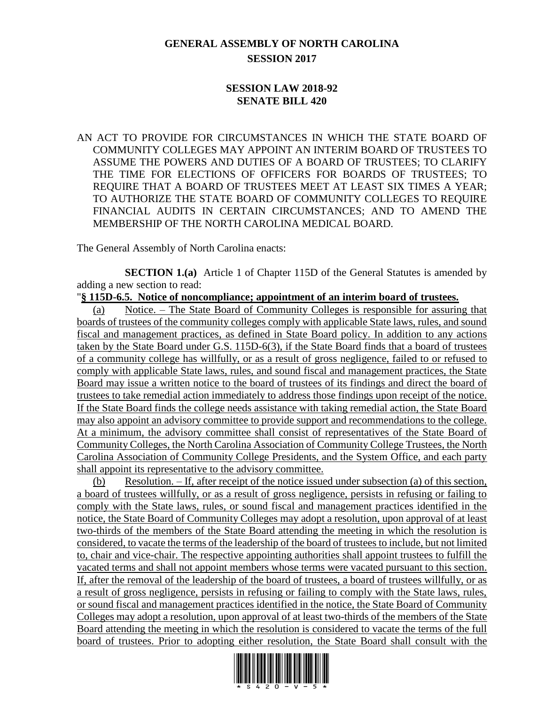## **GENERAL ASSEMBLY OF NORTH CAROLINA SESSION 2017**

## **SESSION LAW 2018-92 SENATE BILL 420**

AN ACT TO PROVIDE FOR CIRCUMSTANCES IN WHICH THE STATE BOARD OF COMMUNITY COLLEGES MAY APPOINT AN INTERIM BOARD OF TRUSTEES TO ASSUME THE POWERS AND DUTIES OF A BOARD OF TRUSTEES; TO CLARIFY THE TIME FOR ELECTIONS OF OFFICERS FOR BOARDS OF TRUSTEES; TO REQUIRE THAT A BOARD OF TRUSTEES MEET AT LEAST SIX TIMES A YEAR; TO AUTHORIZE THE STATE BOARD OF COMMUNITY COLLEGES TO REQUIRE FINANCIAL AUDITS IN CERTAIN CIRCUMSTANCES; AND TO AMEND THE MEMBERSHIP OF THE NORTH CAROLINA MEDICAL BOARD.

The General Assembly of North Carolina enacts:

**SECTION 1.(a)** Article 1 of Chapter 115D of the General Statutes is amended by adding a new section to read:

"**§ 115D-6.5. Notice of noncompliance; appointment of an interim board of trustees.**

(a) Notice. – The State Board of Community Colleges is responsible for assuring that boards of trustees of the community colleges comply with applicable State laws, rules, and sound fiscal and management practices, as defined in State Board policy. In addition to any actions taken by the State Board under G.S. 115D-6(3), if the State Board finds that a board of trustees of a community college has willfully, or as a result of gross negligence, failed to or refused to comply with applicable State laws, rules, and sound fiscal and management practices, the State Board may issue a written notice to the board of trustees of its findings and direct the board of trustees to take remedial action immediately to address those findings upon receipt of the notice. If the State Board finds the college needs assistance with taking remedial action, the State Board may also appoint an advisory committee to provide support and recommendations to the college. At a minimum, the advisory committee shall consist of representatives of the State Board of Community Colleges, the North Carolina Association of Community College Trustees, the North Carolina Association of Community College Presidents, and the System Office, and each party shall appoint its representative to the advisory committee.

(b) Resolution. – If, after receipt of the notice issued under subsection (a) of this section, a board of trustees willfully, or as a result of gross negligence, persists in refusing or failing to comply with the State laws, rules, or sound fiscal and management practices identified in the notice, the State Board of Community Colleges may adopt a resolution, upon approval of at least two-thirds of the members of the State Board attending the meeting in which the resolution is considered, to vacate the terms of the leadership of the board of trustees to include, but not limited to, chair and vice-chair. The respective appointing authorities shall appoint trustees to fulfill the vacated terms and shall not appoint members whose terms were vacated pursuant to this section. If, after the removal of the leadership of the board of trustees, a board of trustees willfully, or as a result of gross negligence, persists in refusing or failing to comply with the State laws, rules, or sound fiscal and management practices identified in the notice, the State Board of Community Colleges may adopt a resolution, upon approval of at least two-thirds of the members of the State Board attending the meeting in which the resolution is considered to vacate the terms of the full board of trustees. Prior to adopting either resolution, the State Board shall consult with the

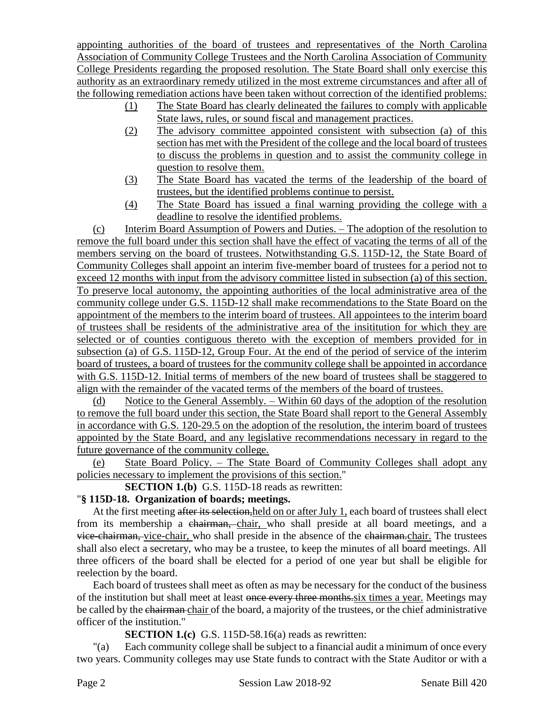appointing authorities of the board of trustees and representatives of the North Carolina Association of Community College Trustees and the North Carolina Association of Community College Presidents regarding the proposed resolution. The State Board shall only exercise this authority as an extraordinary remedy utilized in the most extreme circumstances and after all of the following remediation actions have been taken without correction of the identified problems:

- (1) The State Board has clearly delineated the failures to comply with applicable State laws, rules, or sound fiscal and management practices.
- (2) The advisory committee appointed consistent with subsection (a) of this section has met with the President of the college and the local board of trustees to discuss the problems in question and to assist the community college in question to resolve them.
- (3) The State Board has vacated the terms of the leadership of the board of trustees, but the identified problems continue to persist.
- (4) The State Board has issued a final warning providing the college with a deadline to resolve the identified problems.

(c) Interim Board Assumption of Powers and Duties. – The adoption of the resolution to remove the full board under this section shall have the effect of vacating the terms of all of the members serving on the board of trustees. Notwithstanding G.S. 115D-12, the State Board of Community Colleges shall appoint an interim five-member board of trustees for a period not to exceed 12 months with input from the advisory committee listed in subsection (a) of this section. To preserve local autonomy, the appointing authorities of the local administrative area of the community college under G.S. 115D-12 shall make recommendations to the State Board on the appointment of the members to the interim board of trustees. All appointees to the interim board of trustees shall be residents of the administrative area of the insititution for which they are selected or of counties contiguous thereto with the exception of members provided for in subsection (a) of G.S. 115D-12, Group Four. At the end of the period of service of the interim board of trustees, a board of trustees for the community college shall be appointed in accordance with G.S. 115D-12. Initial terms of members of the new board of trustees shall be staggered to align with the remainder of the vacated terms of the members of the board of trustees.

(d) Notice to the General Assembly. – Within 60 days of the adoption of the resolution to remove the full board under this section, the State Board shall report to the General Assembly in accordance with G.S. 120-29.5 on the adoption of the resolution, the interim board of trustees appointed by the State Board, and any legislative recommendations necessary in regard to the future governance of the community college.

(e) State Board Policy. – The State Board of Community Colleges shall adopt any policies necessary to implement the provisions of this section."

**SECTION 1.(b)** G.S. 115D-18 reads as rewritten:

## "**§ 115D-18. Organization of boards; meetings.**

At the first meeting after its selection, held on or after July 1, each board of trustees shall elect from its membership a chairman, chair, who shall preside at all board meetings, and a vice-chairman, vice-chair, who shall preside in the absence of the chairman.chair. The trustees shall also elect a secretary, who may be a trustee, to keep the minutes of all board meetings. All three officers of the board shall be elected for a period of one year but shall be eligible for reelection by the board.

Each board of trustees shall meet as often as may be necessary for the conduct of the business of the institution but shall meet at least once every three months.six times a year. Meetings may be called by the chairman chair of the board, a majority of the trustees, or the chief administrative officer of the institution."

**SECTION 1.(c)** G.S. 115D-58.16(a) reads as rewritten:

"(a) Each community college shall be subject to a financial audit a minimum of once every two years. Community colleges may use State funds to contract with the State Auditor or with a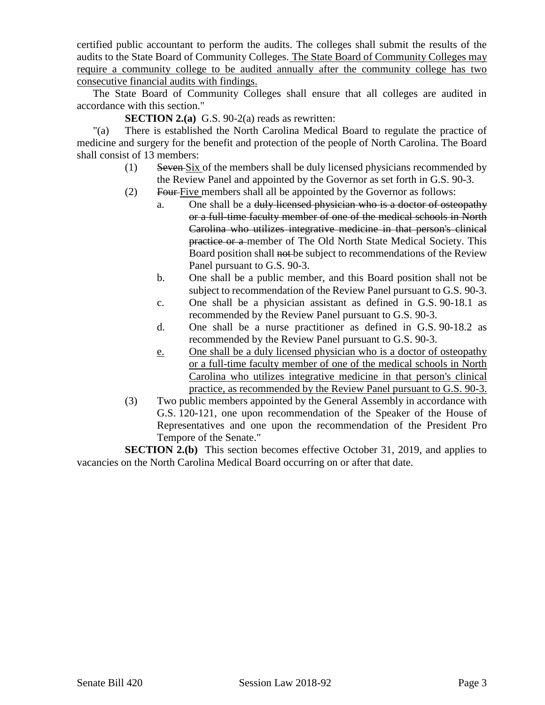certified public accountant to perform the audits. The colleges shall submit the results of the audits to the State Board of Community Colleges. The State Board of Community Colleges may require a community college to be audited annually after the community college has two consecutive financial audits with findings.

The State Board of Community Colleges shall ensure that all colleges are audited in accordance with this section."

**SECTION 2.(a)** G.S. 90-2(a) reads as rewritten:

"(a) There is established the North Carolina Medical Board to regulate the practice of medicine and surgery for the benefit and protection of the people of North Carolina. The Board shall consist of 13 members:

- (1) Seven Six of the members shall be duly licensed physicians recommended by the Review Panel and appointed by the Governor as set forth in G.S. 90-3.
- (2) Four Five members shall all be appointed by the Governor as follows:
	- a. One shall be a duly licensed physician who is a doctor of osteopathy or a full-time faculty member of one of the medical schools in North Carolina who utilizes integrative medicine in that person's clinical practice or a member of The Old North State Medical Society. This Board position shall not be subject to recommendations of the Review Panel pursuant to G.S. 90-3.
	- b. One shall be a public member, and this Board position shall not be subject to recommendation of the Review Panel pursuant to G.S. 90-3.
	- c. One shall be a physician assistant as defined in G.S. 90-18.1 as recommended by the Review Panel pursuant to G.S. 90-3.
	- d. One shall be a nurse practitioner as defined in G.S. 90-18.2 as recommended by the Review Panel pursuant to G.S. 90-3.
	- e. One shall be a duly licensed physician who is a doctor of osteopathy or a full-time faculty member of one of the medical schools in North Carolina who utilizes integrative medicine in that person's clinical practice, as recommended by the Review Panel pursuant to G.S. 90-3.
- (3) Two public members appointed by the General Assembly in accordance with G.S. 120-121, one upon recommendation of the Speaker of the House of Representatives and one upon the recommendation of the President Pro Tempore of the Senate."

**SECTION 2.(b)** This section becomes effective October 31, 2019, and applies to vacancies on the North Carolina Medical Board occurring on or after that date.